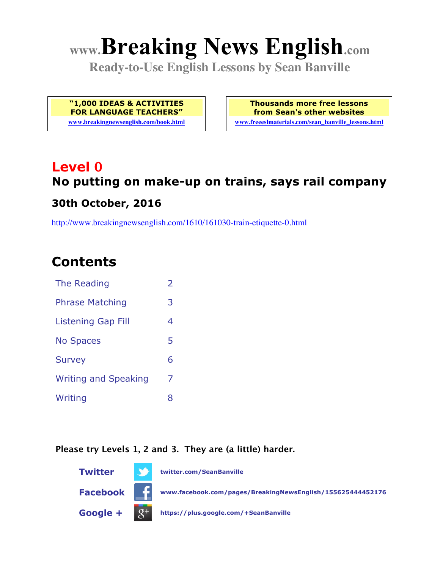# **www.Breaking News English.com**

**Ready-to-Use English Lessons by Sean Banville**

**"1,000 IDEAS & ACTIVITIES FOR LANGUAGE TEACHERS"**

**www.breakingnewsenglish.com/book.html**

**Thousands more free lessons from Sean's other websites www.freeeslmaterials.com/sean\_banville\_lessons.html**

### **Level 0 No putting on make-up on trains, says rail company 30th October, 2016**

http://www.breakingnewsenglish.com/1610/161030-train-etiquette-0.html

### **Contents**

| The Reading                 | $\overline{2}$ |
|-----------------------------|----------------|
| <b>Phrase Matching</b>      | 3              |
| <b>Listening Gap Fill</b>   | 4              |
| <b>No Spaces</b>            | 5              |
| <b>Survey</b>               | 6              |
| <b>Writing and Speaking</b> | 7              |
| Writing                     | 8              |

#### **Please try Levels 1, 2 and 3. They are (a little) harder.**

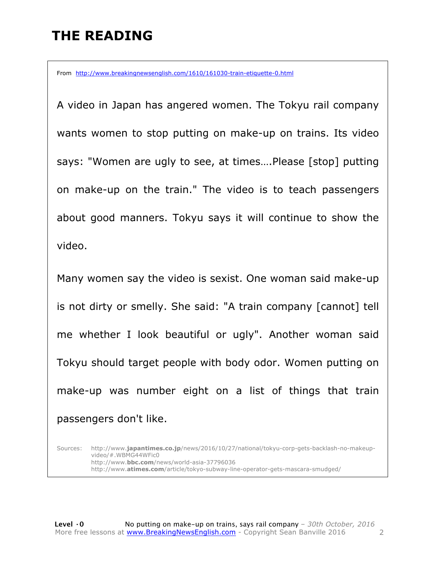### **THE READING**

From http://www.breakingnewsenglish.com/1610/161030-train-etiquette-0.html

A video in Japan has angered women. The Tokyu rail company wants women to stop putting on make-up on trains. Its video says: "Women are ugly to see, at times….Please [stop] putting on make-up on the train." The video is to teach passengers about good manners. Tokyu says it will continue to show the video.

Many women say the video is sexist. One woman said make-up is not dirty or smelly. She said: "A train company [cannot] tell me whether I look beautiful or ugly". Another woman said Tokyu should target people with body odor. Women putting on make-up was number eight on a list of things that train passengers don't like.

Sources: http://www.**japantimes.co.jp**/news/2016/10/27/national/tokyu-corp-gets-backlash-no-makeupvideo/#.WBMG44WFic0 http://www.**bbc.com**/news/world-asia-37796036 http://www.**atimes.com**/article/tokyo-subway-line-operator-gets-mascara-smudged/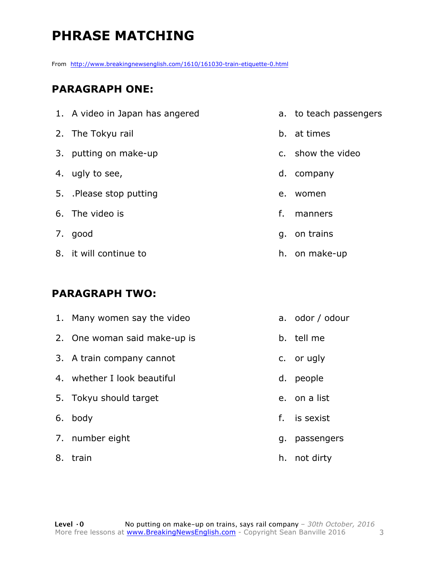### **PHRASE MATCHING**

From http://www.breakingnewsenglish.com/1610/161030-train-etiquette-0.html

### **PARAGRAPH ONE:**

| 1. A video in Japan has angered |    | a. to teach passengers |
|---------------------------------|----|------------------------|
| 2. The Tokyu rail               |    | b. at times            |
| 3. putting on make-up           |    | c. show the video      |
| 4. ugly to see,                 |    | d. company             |
| 5. Please stop putting          | e. | women                  |
| 6. The video is                 | f. | manners                |
| 7. good                         |    | q. on trains           |
| 8. it will continue to          |    | h. on make-up          |

#### **PARAGRAPH TWO:**

| 1. Many women say the video  | a. odor / odour |
|------------------------------|-----------------|
| 2. One woman said make-up is | b. tell me      |
| 3. A train company cannot    | c. or ugly      |
| 4. whether I look beautiful  | d. people       |
| 5. Tokyu should target       | e. on a list    |
| 6. body                      | f. is sexist    |
| 7. number eight              | g. passengers   |
| 8. train                     | h. not dirty    |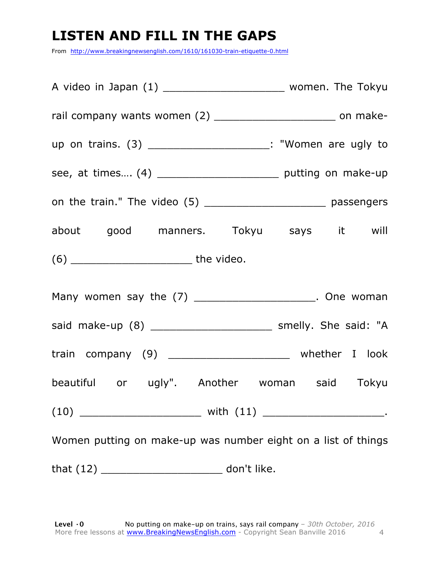### **LISTEN AND FILL IN THE GAPS**

From http://www.breakingnewsenglish.com/1610/161030-train-etiquette-0.html

| rail company wants women (2) ____________________________ on make- |  |
|--------------------------------------------------------------------|--|
| up on trains. (3) ______________________: "Women are ugly to       |  |
| see, at times (4) ____________________________ putting on make-up  |  |
| on the train." The video (5) ________________________ passengers   |  |
| about good manners. Tokyu says it will                             |  |
|                                                                    |  |
| Many women say the (7) ____________________. One woman             |  |
| said make-up (8) ____________________________ smelly. She said: "A |  |
| train company (9) _____________________ whether I look             |  |
| beautiful or ugly". Another woman said Tokyu                       |  |
|                                                                    |  |
| Women putting on make-up was number eight on a list of things      |  |
|                                                                    |  |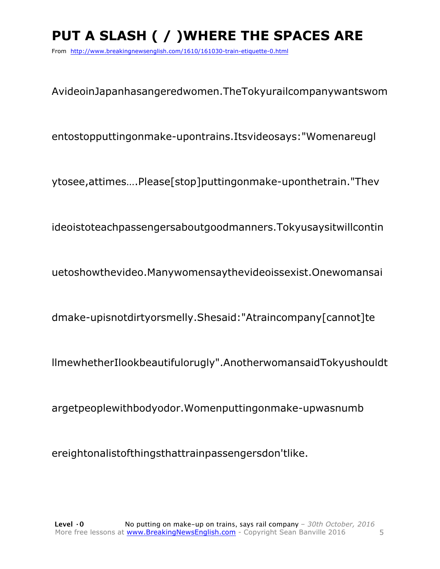## **PUT A SLASH ( / )WHERE THE SPACES ARE**

From http://www.breakingnewsenglish.com/1610/161030-train-etiquette-0.html

AvideoinJapanhasangeredwomen.TheTokyurailcompanywantswom

entostopputtingonmake-upontrains.Itsvideosays:"Womenareugl

ytosee,attimes….Please[stop]puttingonmake-uponthetrain."Thev

ideoistoteachpassengersaboutgoodmanners.Tokyusaysitwillcontin

uetoshowthevideo.Manywomensaythevideoissexist.Onewomansai

dmake-upisnotdirtyorsmelly.Shesaid:"Atraincompany[cannot]te

llmewhetherIlookbeautifulorugly".AnotherwomansaidTokyushouldt

argetpeoplewithbodyodor.Womenputtingonmake-upwasnumb

ereightonalistofthingsthattrainpassengersdon'tlike.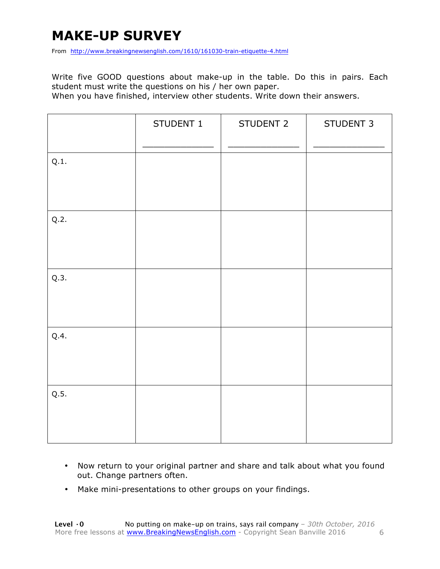### **MAKE-UP SURVEY**

From http://www.breakingnewsenglish.com/1610/161030-train-etiquette-4.html

Write five GOOD questions about make-up in the table. Do this in pairs. Each student must write the questions on his / her own paper.

When you have finished, interview other students. Write down their answers.

|      | STUDENT 1 | STUDENT 2 | STUDENT 3 |
|------|-----------|-----------|-----------|
| Q.1. |           |           |           |
| Q.2. |           |           |           |
| Q.3. |           |           |           |
| Q.4. |           |           |           |
| Q.5. |           |           |           |

- Now return to your original partner and share and talk about what you found out. Change partners often.
- Make mini-presentations to other groups on your findings.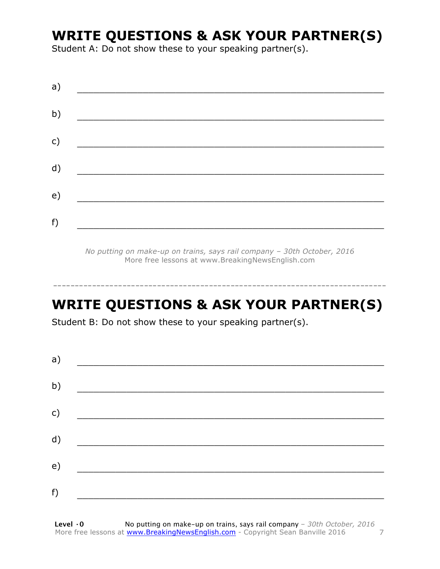### **WRITE QUESTIONS & ASK YOUR PARTNER(S)**

Student A: Do not show these to your speaking partner(s).

| a) |  |  |
|----|--|--|
| b) |  |  |
| c) |  |  |
| d) |  |  |
| e) |  |  |
| f) |  |  |
|    |  |  |

*No putting on make-up on trains, says rail company – 30th October, 2016* More free lessons at www.BreakingNewsEnglish.com

### **WRITE QUESTIONS & ASK YOUR PARTNER(S)**

-----------------------------------------------------------------------------

Student B: Do not show these to your speaking partner(s).

| a) |  |  |
|----|--|--|
| b) |  |  |
| c) |  |  |
| d) |  |  |
| e) |  |  |
| f) |  |  |
|    |  |  |